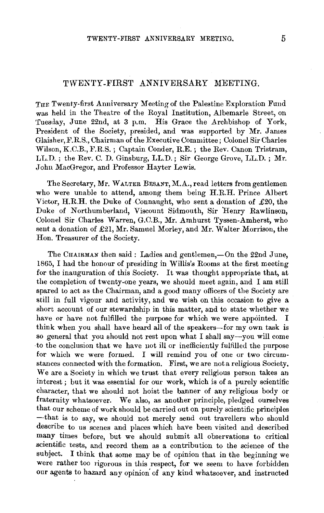## TWENTY-FIRST ANNIVERSARY MEETING.

THE Twenty-first Anniversary Meeting of the Palestine Exploration Fund was held in the Theatre of the Royal Institution, Albemarle Street, on Tuesday, June 22nd, at 3 p.m. His Grace the Archbishop of York, President of the Society, presided, and was supported by Mr. James Glaisher, F.R.S., Chairman of the Executive Committee; Colonel Sir Charles Wilson, K.C.B., F.R.S. ; Captain Conder, R.E. ; the Rev. Canon Tristram, LL.D. ; the Rev. C. D. Ginsburg, LL.D.; Sir George Grove, LL.D. ; Mr. John MacGregor, and Professor Hayter Lewis.

The Secretary, Mr. W ALTER BESANT, M.A., read letters from gentlemen who were unable to attend, among them being H.R.H. Prince Albert Victor, H.R.H. the Duke of Connaught, who sent a donation of  $\pounds 20$ , the Duke of Northumberland, Viscount Sidmouth, Sir Henry Rawlinson, Colonel Sir Charles Warren, G.C.B., Mr. Amhurst Tyssen-Amherst, who sent a donation of £21, Mr. Samuel Morley, and Mr. Waiter Morrison, the Hon. Treasurer of the Society.

The CHAIRMAN then said: Ladies and gentlemen,-On the 22nd June. 1865, I had the honour of presiding in Willis's Rooms at the first meeting for the inauguration of this Society. It was thought appropriate that, at the completion of twenty-one years, we should meet again, and I am still spared to act as the Chairman, and a good many officers of the Society are still in full vigour and activity, and we wish on this occasion to give a short account of our stewardship in this matter, and to state whether we have or have not fulfilled the purpose for which we were appointed. I think when you shall have heard all of the speakers-for my own task is so general that you should not rest upon what I shall say-you will come to the conclusion that we have not ill or inefficiently fulfilled the purpose for which we were formed. I will remind you of one or two circumstances connected with the formation. First, we are not a religious Society. We are a Society in which we trust that every religious person takes an interest ; but it was essential for our work, which is of a purely scientific character, that we should not hoist the banner of any religious body or fraternity whatsoever. We also, as another principle, pledged ourselves that our scheme of work should be carried out on purely scientific principles -that is to say, we should not merely send out travellers who should describe to us scenes and places which have been visited and described many times before, but we should submit all observations to critical scientific tests, and record them as a contribution to the science of the subject. I think that some may be of opinion that in the beginning we were rather too rigorous in this respect, for we seem to have forbidden our agents to hazard any opinion' of any kind whatsoever, and instructed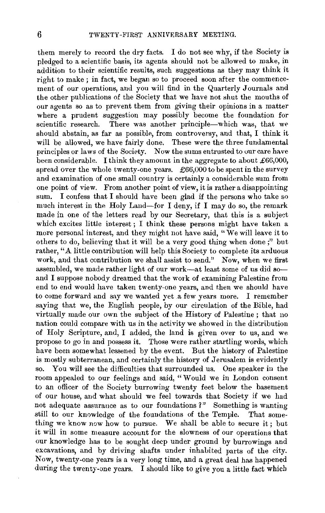them merely to record the dry facts. I do not see why, if the Society is pledged to a scientific basis, its agents should not be allowed to make, in addition to their scientific results, such suggestions as they may think it right to make ; in fact, we began so to proceed soon after the commencement of our operations, and you will find in the Quarterly Journals and the other publications of the Society that we have not shut the mouths of our agents so as to prevent them from giving their opinions in a matter where a prudent suggestion may possibly become the foundation for scientific research. There was another principle-which was, that we should abstain, as far as possible, from controversy, and that, I think it will be allowed, we have fairly done. These were the three fundamental principles or laws of the Society. Now the sums entrusted to our care have been considerable. I think they amount in the aggregate to about  $£66,000$ , spread over the whole twenty-one years. £66,000 to be spent in the survey and examination of one small country is certainly a considerable sum from one point of view. From another point of view, it is rather a disappointing sum. I confess that I should have been glad if the persons who take so much interest in the Holy Land-for I deny, if I may do so, the remark made in one of the letters read by our Secretary, that this is a subject which excites little interest ; I think these persons might have taken a more personal interest, and they might not have said, "We will leave it to others to do, believing that it will be a very good thing when done;" but rather, "A little contribution will help this Society to complete its arduous work, and that contribution we shall assist to send." Now, when we first assembled, we made rather light of our work-at least some of us did soand I suppose nobody dreamed that the work of examining Palestine from end to end would have taken twenty-one years, and then we should have to come forward and say we wanted yet .a few years more. I remember saying that we, the English people, by our circulation of the Bible, had virtually made our own the subject of the History of Palestine ; that no nation could compare with us in the activity we showed in the distribution of Holy Scripture, and, I added, the land is given over to us, and we propose to go in and possess it. Those were rather startling words, which have been somewhat lessened by the event. But the history of Palestine is mostly subterranean, and certainly the history of Jerusalem is evidently so. You will see the difficulties that surrounded us. One speaker in the room appealed to our feelings and said, "Would we in London consent to an officer of the Society burrowing twenty feet below the basement of our house, and what should we feel towards that Society if we had not adequate assurance as to our foundations?" Something is wanting still to our knowledge of the foundations of the Temple. That something we know now how to pursue. We shall be able to secure it ; but it will in some measure account for the slowness of our operations that our knowledge has to be sought deep under ground by burrowings and excavations, and by driving shafts under inhabited parts of the city. Now, twenty-one years is a very long time, and a great deal has happened during the twenty-one years. I should like to give you a little fact which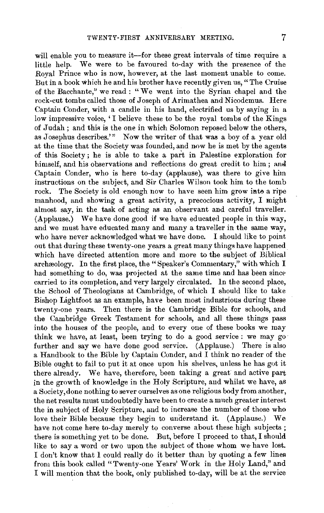will enable you to measure it-for these great intervals of time require a little help. We were to be favoured to-day with the presence of the Royal Prince who is now, however, at the last moment unable to come. But in a book which he and his brother have recently given us," The Cruise of the Bacchante," we read : " We went into the Syrian chapel and the rock-cut tombs called those of Joseph of Arimathea and Nicodemus. Here Captain Conder, with a candle in his hand, electrified us by saying in a low impressive voice, 'I believe these to be the royal tombs of the Kings of Judah ; and this is the one in which Solomon reposed below the others, as Josephus describes.'" Now the writer of that was a boy of a year old at the time that the Society was founded, and now he is met by the agents of this Society ; he is able to take a part in Palestine exploration for himself, and his observations and reflections do great credit to him; and Captain Conder, who is here to-day (applause), was there to give him instructions on the subject, and Sir Charles Wilson took him to the tomb rock. The Society is old enough now to have seen him grow into a ripe manhood, and showing a great activity, a precocious activity, I might almost say, in the task of acting as an observant and careful traveller. (Applause.) We have done good if we have educated people in this way, and we must have educated many and many a traveller in the same way, who have never acknowledged what we have done. I should like to point out that during these twenty-one years a great many things have happened which have directed attention more and more to the subject of Biblical archæology. In the first place, the "Speaker's Commentary," with which I had something to do, was projected at the same time and has been since carried to its completion, and very largely circulated. In the second place, the School of Theologians at Cambridge, of which I should like to take Bishop Lightfoot as an example, have been most industrious during these twenty-one years. Then there is the Cambridge Bible for schools, and the Cambridge Greek Testament for schools, and all these things pass into the houses of the people, and to every one of these books we may think we have, at least, been trying to do a good service : we may go further and say we have done good service. (Applause.) There is also a Handbook to the Bible by Captain Conder, and I think no reader of the Bible ought to fail to put it at once upon his shelves, unless he has got it there already. We have, therefore, been taking a great and active part in the growth of knowledge in the Holy Scripture, and whilst we have, as a Society, done nothing to sever ourselves as one religious body from another, the net results must undoubtedly have been to create a mnch greater interest the in subject of Holy Scripture, and to increase the number of those who love their Bible because they begin to understand it. (Applause.) We have not come here to-day merely to converse about these high subjects ; there is something yet to be done. But, before I proceed to that, I should like to say a word or two upon the subject of those whom we have lost. I don't know that I could really do it better than by quoting a few lines from this book called "Twenty-one Years' Work in the Holy Land," and I will mention that the book, only published to-day, will be at the service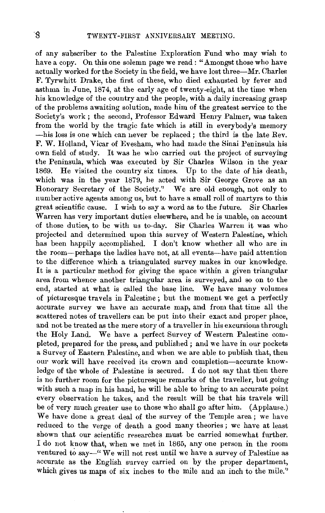of any subscriber to the Palestine Exploration Fund who may wish to have a copy. On this one solemn page we read : "Amongst those who have actually worked for the Society in the field, we have lost three-Mr. Charles F. Tyrwhitt Drake, the first of these, who died exhausted by fever and asthma in June, 1874, at the early age of twenty-eight, at the time when his knowledge of the country and the people, with a daily increasing grasp of the problems awaiting solution, made him of the greatest service to the Society's work; the second, Professor Edward Henry Palmer, was taken from the world by the tragic fate which is still in everybody's memory -his loss is one which can never be replaced ; the third is the late Rev. F. W. Holland, Vicar of Evesham, who had made the Sinai Peninsula his own field of study. It was he who carried out the project of surveying the Peninsula, which was executed by Sir Charles Wilson in the year 1869. He visited the country six times. Up to the date of his death, which was in the year 1879, he acted with Sir George Grove as an Honorary Secretary of the Society." We are old enough, not only to number active agents among us, but to have a small roll of martyrs to this great scientific cause. I wish to say a word as to the future. Sir Charles Warren has very important duties elsewhere, and he is unable, on account of those duties, to be with us to-day. Sir Charles Warren it was who projected and determined upon this survey of Western Palestine, which has been happily accomplished. I don't know whether all who are in the room-perhaps the ladies have not, at all events-have paid attention to the difference which a triangulated survey makes in our knowledge. It is a particular method for giving the space within a given triangular area from whence another triangular area is surveyed, and so on to the end, started at what is called the base line. We have many volumes of picturesque travels in Palestine; but the moment we get a perfectly accurate survey we have an accurate map, and from that time all the scattered notes of travellers can be put into their exact and proper place, and not be treated as the mere story of a traveller in his excursions through the Holy Land. We have a perfect Survey of Western Palestine completed, prepared for the press, and published; and we have in our pockets a Survey of Eastern Palestine, and when we are able to publish that, then our work will have received its crown and completion-accurate knowledge of the whole of Palestine is secured. I do not say that then there is no further room for the picturesque remarks of the traveller, but going with such a map in his hand, he will be able to bring to an accurate point every observation he takes, and the result will be that his travels will be of very much greater use to those who shall go after him. (Applause.) We have done a great deal of the survey of the Temple area; we have reduced to the verge of death a good many theories ; we have at least shown that our scientific researches must be carried somewhat further. I do not know that, when we met in 1865, any one person in the room ventured to say-" We will not rest until we have a survey of Palestine as accurate as the English survey carried on by the proper department, which gives us maps of six inches to the mile and an inch to the mile."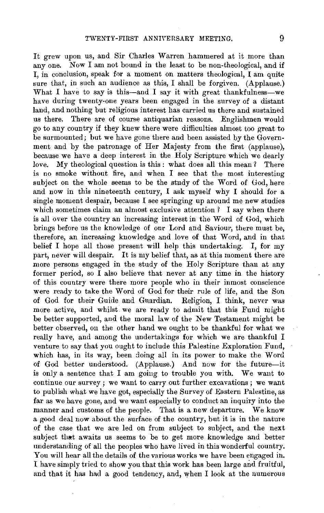It grew upon us, and Sir Charles Warren hammered at it more than any one. Now I am not bound in the least to be non-theological, and if I, in conclusion, speak for a moment on matters theological, I am quite sure that, in such an audience as this, I shall be forgiven. (Applause.) What I have to say is this-and I say it with great thankfulness-we have during twenty-one years been engaged in the survey of a distant land, and nothing but religious interest has carried us there and sustained us there. There are of course antiquarian reasons. Englishmen would go to any country if they knew there were difficulties almost too great to be surmounted; but we have gone there and been assisted by the Govemment and by the patronage of Her Majesty from the first (applause), because we have a deep interest in the Holy Scripture which we dearly love. My theological question is this : what does all this mean? There is no smoke without fire, and when I see that the most interesting subject on the whole seems to be the study of the Word of God, here and now in this nineteenth century, I ask myself why I should for a single moment despair, because I see springing up around me new studies which sometimes claim an almost exclusive attention  $?$  I say when there is all over the country an increasing interest in the Word of God, which brings before us the knowledge of our Lord and Saviour, there must be, therefore, an increasing knowledge and love of that Word, and in that belief I hope all those present will help this undertaking. I, for my part, never will despair. It is my belief that, as at this moment there are more persons engaged in the study of the Holy Scripture than at any former period, so I also believe that never at any time in the history of this country were there more people who in their inmost conscience were ready to take the Word of God for their rule of life, and the Son of God for their Guide and Guardian. Religion, I think, never was more active, and whilst we are ready to admit that this Fund might be better supported, and the moral law of the New Testament might be better observed, on the other hand we ought to be thankful for what we really have, and among the undertakings for which we are thankful I venture to say that you ought to include this Palestine Exploration Fund, which has, in its way, been doing all in its power to make the Word of God better understood. (Applause.) And now for the future-it is only a sentence that I am going to trouble you with. We want to continue our survey; we want to carry out further excavations ; we want to publish what we have got, especially the Survey of Eastem Palestine, as far as we have gone, and we want especially to conduct an inquiry into the manner and customs of the people. That is a new departure. We know a good deal now about the surface of the country, but it is in the nature of the case that we are led on from subject to subject, and the next subject that awaits us seems to be to get more knowledge and better understanding of all the peoples who have lived in this wonderful country. You will hear all the details of the various works we have been engaged in. I have simply tried to show you that this work has been large and fruitful, and that it has had a good tendency, and, when I look at the numerous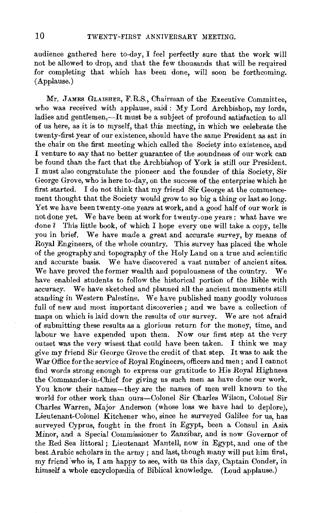audience gathered here to-day, I feel perfectly sure that the work will not be allowed to drop, and that the few thousands that will be required for completing that which has been done, will soon be forthcoming. (Applause.)

Mr. JAMES GLAISHER, F.R.S., Chairman of the Executive Committee. who was received with applause, said : My Lord Archbishop, my lords, ladies and gentlemen,-It must be a subject of profound satisfaction to all of us here, as it is to myself, that this meeting, in which we celebrate the twenty-first year of our existence, should have the same President as sat in the chair on the first meeting which called the Society into existence, and I venture to say that no better guarantee of the soundness of our work can be found than the fact that the Archbishop of York is still our President. I must also congratulate the pioneer and the founder of this Society, Sir George Grove, who is here to-day, on the success of the enterprise which he first started. I do not think that my friend Sir George at the commencement thought that the Society would grow to so big a thing or last so long. Yet we have been twenty-one years at work, and a good half of our work is not done yet. We have been at work for twenty-one years: what have we done? This little book, of which I hope every one will take a copy, tells you in brief. We have made a great and accurate survey, by means of Royal Engineers, of the whole country. This survey has placed the whole of the geography and topography of the Holy Land on a true and scientific and accurate basis. We have discovered a vast number of ancient sites. We have proved the former wealth and populousness of the country. We have enabled students to follow the historical portion of the Bible with accuracy. We have sketched and planned all the ancient monuments still standing in Western Palestine. We have published many goodly volumes full of new and most important discoveries ; and we have a collection of maps on which is laid down the results of our survey. We are not afraid of submitting these results as a glorious return for the money, time, and labour we have expended upon them. Now our first step at the very outset was the very wisest that could have been taken. I think we may give my friend Sir George Grove the credit of that step. It was to ask the War Office for the service of Royal Engineers, officers and men; and I cannot find words strong enough to express our gratitude to His Royal Highness the Commander-in-Chief for giving us such men as have done our work, You know their names-they are the names of men well known to the world for other work than ours-Colonel Sir Charles Wilson, Colonel Sir Charles Warren, Major Anderson (whose loss we have had to deplore), Lieutenant-Colonel Kitchener who, since he surveyed Galilee for us, has surveyed Cyprus, fought in the front in Egypt, been a Consul in Asia Minor, and a Special Commissioner to Zanzibar, and is now Governor of the Red Sea littoral; Lieutenant Mantell, now in Egypt, and one of the best Arabic scholars in the army ; and last, though many will put him first, my friend 'who is, I am happy to see, with us this day, Captain Conder, in himself a whole encyclopædia of Biblical knowledge. (Loud applause.)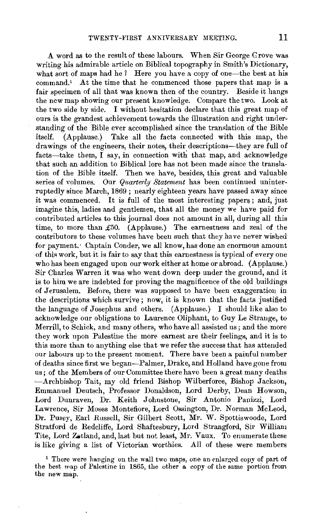A word as to the result of these labours. When Sir George Grove was writing his admirable article on Biblical topography in Smith's Dictionary, what sort of maps had he ? Here you have a copy of one-the best at his command.<sup>1</sup> At the time that he commenced those papers that map is a fair specimen of all that was known then of the country. Beside it hangs the new map showing our present knowledge. Compare the two. Look at the two side by side. I without hesitation declare that this great map of ours is the grandest achievement towards the illustration and right understanding of the Bible ever accomplished since the translation of the Bible itself. (Applause.) Take all the facts connected with this map, the drawings of the engineers, their notes, their descriptions-they are full of facts—take them,  $\overline{I}$  say, in connection with that map, and acknowledge that such an addition to Biblical lore has not been made since the translation of the Bible itself. Then we have, besides, this great and valuable series of volumes. Our *Quarterly Statement* has been continued uninterruptedly since March, 1869; nearly eighteen years have passed away since it was commenced. It is full of the most interesting papers; and, just imagine this, ladies and gentlemen, that all the money we have paid for contributed articles to this journal does not amount in all, during all this time, to more than  $£50.$  (Applause.) The earnestness and zeal of the contributors to these yolumes have been such that they have never wished for payment.' Captain Conder, we all know, has done an enormous amount of this work, but it is fair to say that this earnestness is typical of every one who has been engaged upon our work either at home or abroad. (Applause.) Sir Charles Warren it was who went down deep under the ground, and it is to him we are indebted for proving the magnificence of the old buildings of Jerusalem. Before, there was supposed to have been exaggeration in the descriptions which survive ; now, it is known that the facts justified the language of Josephus and others. (Applause.) I should like also to acknowledge our obligations to Laurence Oliphant, to Guy Le Strange, to Merrill, to Schick, and many others, who have all assisted us; and the more they work npon Palestine the more earnest are their feelings, and it is to this more than to anything else that we refer the success that has attended our labours up to the present moment. There have been a painful number of deaths since first we began-Palmer, Drake, and Holland have gone from us; of the Members of our Committee there have been a great many deaths -Archbishop Tait, my old friend Bishop Wilberforce, Bishop Jackson, Emmanuel Deutsch, Professor Donaldson, Lord Derby, Dean Howson, Lord Dunraven, Dr. Keith Johnstone, Sir Antonio Panizzi, Lord Lawrence, Sir Moses Montefiore, Lord Ossington, Dr. Norman McLeod, Dr. Pusey, Earl Russell, Sir Gilbert Scott, Mr. W. Spottiswoode, Lord Stratford de Redcliffe, Lord Shaftesbury, Lord Strangford, Sir William Tite, Lord Zetland, and, last but not least, Mr. Vaux. To enumerate these is like giving a list of Victorian worthies. All of these were members

<sup>&</sup>lt;sup>1</sup> There were hanging on the wall two maps, one an enlarged copy of part of the best map of Palestine in 1865, the other a copy of the same portion from the new map.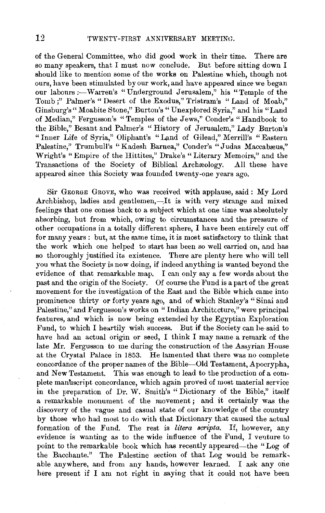of the General Committee, who did good work in their time. There are so many speakers, that I must *now* conclude. But before sitting down I should like to mention some of the works on Palestine which, though not ours, have been stimulated by our work, and have appeared since we began our labours :- Warren's "Underground Jerusalem," his "Temple of the Tomb;" Palmer's "Desert of the Exodus," Tristram's "Land of Moab," Ginsburg's" Moabite Stone," Burton's "Unexplored Syria," and his "Land of Median," Fergusson's "Temples of the Jews," Conder's "Handbook to the Bible," Besant and Palmer's "History of Jerusalem," Lady Burton's "Inner Life of Syria," Oliphant's "Land of Gilead," Merrill's "Eastern Palestine," Trumbull's "Kadesh Barnea," Conder's "Judas Maccabæus," Wright's "Empire of the Hittites," Drake's "Literary Memoirs," and the Transactions of the Society of Biblical Archreology. All these have appeared since this Society was founded twenty-one years ago.

Sir GEoRGE GRovE, who was received with applause, said : My Lord Archbishop, ladies and gentlemen,-It is with very strange and mixed feelings that one comes back to a subject which at one time was absolutely absorbing, but from which, owing to circumstances and the pressure of other occupations in a totally different sphere, I have been entirely cut off for many years : but, at the same time, it is most satisfactory to think that the work which one helped to start has been so well carried on, and has so thoroughly justified its existence. There are plenty here who will tell you what the Society is now doing, if indeed anything is wanted beyond the evidence of that remarkable map. I can only say a few words about the past and the origin of the Society. Of course the Fund is a part of the great movement for the investigation of the East and the Bible which came into prominence thirty or forty years ago, and of which Stanley's " Sinai and Palestine," and Fergnssou's works on "Indian Architecture," were principal features, and which is now being extended by the Egyptian Exploration Fund, to which I heartily wish success. But if the Society can be said to have had an actual origin or seed, I think I may name a remark of the late Mr. Fergusson to me during the construction of the Assyrian House at the Crystal Palace in 1853. He lamented that there was no complete concordance of the proper names of the Bible-Old Testament, Apocrypha, and New Testament. This was enough to lead to the production of a complete manuscript concordance, which again proved of most material service in the preparation of Dr. W. Smith's "Dictionary of the Bible," itself a remarkable monument of the movement ; and it certainly was the discovery of the vague and casual state of our knowledge of the country by those who had most to do with that Dictionary that caused the actual formation of the Fund. The rest is *litera scripta.* If, however, any evidence is wanting as to the wide influence of the Fund, I venture to point to the remarkable book which has recently appeared-the "Log of the Bacchante." The Palestine section of that Log would be remark, able anywhere, and from any hands, however learned. I ask any mie here present if I am not right in saying that it could not have been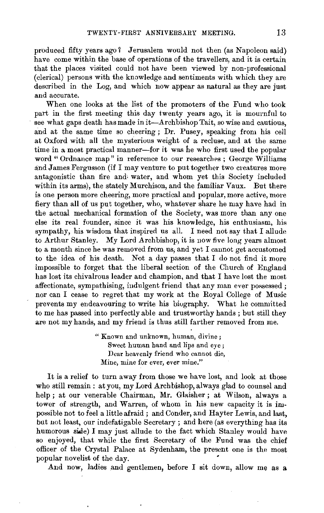produced fifty years ago 1 Jemsalem would not then (as Napoleon said) have come within the base of operations of the travellers, and it is certain that the places visited could not have been viewed by non-professional (clerical) persons with the knowledge and sentiments with which they are described in the Log, and which now appear as natural as they are just and accurate.

When one looks at the list of the promoters of the Fund who took part in the first meeting this day twenty years ago, it is mournful to see what gaps death has made in it—Archbishop Tait, so wise and cautious, and at the same time so cheering; Dr. Pusey, speaking from his cell at Oxford with all the mysterious weight of a recluse, and at the same time in a most practical manner-for it was he who first used the popular word " Ordnance map" in reference to our researches ; George Williams and James Fergusson (if I may venture to put together two creatures more antagonistic than fire and' water, and whom yet this Society included within its arms), the stately Murchison, and the familiar Vaux. But there is one person more cheering, more practical and popular, more active, more fiery than all of us put together, who, whatever share he may have had in the actual mechanical formation of the Society, was more than any one else its real founder, since it was his knowledge, his enthusiasm, his sympathy, his wisdom that inspired us all. I need not say that I allude to Arthur Stanley. My Lord Archbishop, it is now five long years almost to a month since he was removed from us, and yet I cannot get accustomed to the idea of his death. Not a day passes that I do not find it more impossible to forget that the liberal section of the Church of England has lost its chivalrous leader and champion, and that I have lost the most affectionate, sympathising, indulgent friend that any man ever possessed; nor can I cease to regret that my work at the Royal College of Music prevents my endeavouring to write his biography. What he committed to me has passed into perfectly able and trustworthy hands; but still they are not my hands, and my friend is thus still farther removed from me.

> " Known and unknown, human, divine ; Sweet human hand and lips and eye; Dear heavenly friend who cannot die, Mine, mine for ever, ever mine."

It is a relief to turn away from those we have lost, and look at those who still remain : at you, my Lord Arch bishop, always glad to counsel and help; at our venerable Chairman, Mr. Glaisher; at Wilson, always a tower of strength, and Warren, of whom in his new capacity it is impossible not to feel a little afraid ; and Conder, and Hayter Lewis, and last, but not least, our indefatigable Secretary ; and here (as everything has its humorous side) I may just allude to the fact which Stanley would have so enjoyed, that while the first Secretary of the Fund was the chief officer of the Crystal Palace at Sydenham, the present one is the most popular novelist of the day. \*

And now, ladies and gentlemen, before I sit down, allow me as a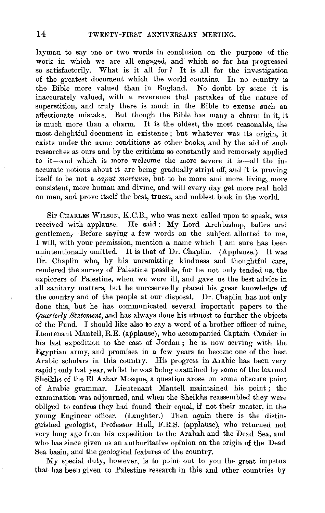layman to say one or two words in conclusion on the purpose of the work in which we are all engaged, and which so far has progressed so satisfactorily. What is it all for ? It is all for the investigation of the greatest document which the world contains. In no country is the Bible more valued than in England. No doubt by some it is inaccurately valued, with a reverence that partakes of the nature of superstition, and truly there is much in the Bible to excuse such an affectionate mistake. But though the Bible has many a charm in it, it is much more than a charm. It is the oldest, the most reasonable, the most delightful document in existence ; but whatever was its origin, it exists under the same conditions as other books, and by the aid of such researches as ours and by the criticism so constantly and remorsely applied to it--and which is more welcome the more severe it is-all the inaccurate notions about it are being gradually stript off, and it is proving itself to be not a *caput mortuum,* but to be more and more living, more consistent, more human and divine, and will every day get more real hold on men, and prove itself the best, truest, and noblest book in the world.

Sir CHARLES WILSON, K.C.B., who was next called upon to speak, was received with applause. He said : My Lord Archbishop, ladies and gentlemen,--Before saying a few words on the subject allotted to me, I will, with your permission, mention a name which I am sure has been unintentionally omitted. It is that of Dr. Chaplin. (Applause.) It was Dr. Chaplin who, by his unremitting kindness and thoughtful care, rendered the survey of Palestine possible, for he not only tended us, the explorers of Palestine, when we were ill, and gave us the best advice in all sanitary matters, but he unreservedly placed his great knowledge of the country and of the people at our disposal. Dr. Chaplin has not only done this, but he has communicated several important papers to the *Quarterly Statement*, and has always done his utmost to further the objects of the Fund. I should like also to say a word of a brother officer of mine. Lieutenant Mantell, R.E. (applause), who accompanied Captain Conder in his last expedition to the east of Jordan; he is now serving with the Egyptian army, and promises in a few years to become one of the best Arabic scholars in this country. His progress in Arabic has been very rapid; only last year, whilst he was being examined by some of the learned Sheikhs of the El Azhar Mosque, a question arose on some obscure point of Arabic grammar. Lieutenant Mantell maintained his point ; the examination was adjourned, and when the Sheikhs reassembled they were obliged to confess they had found their equal, if not their master, in the young Engineer officer. (Laughter.) Then again there is the distinguished geologist, Professor Hull, F.R.S. (applause), who returned not very long ago from his expedition to the Arabah and the Dead Sea, and who has since given us an authoritative opinion on the origin of the Dead Sea basin, and the geological features of the country.

My special duty, however, is to point out to you the great impetus that has been given to Palestine research in this and other countries by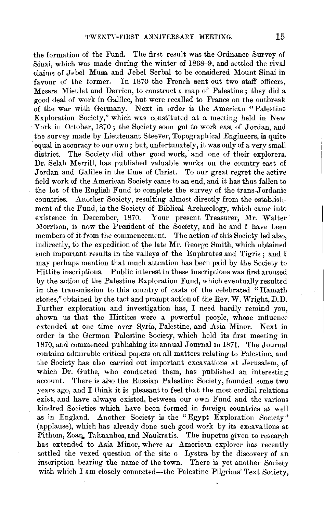the formation of the Fund. The first result was the Ordnance Survey of Sinai, which was made during the winter of 1868-9, and settled the rival claims of Jebel Musa and Jebel Serbal to be considered Mount Sinai in favour of the former. In 1870 the French sent out *two* staff officers, Messrs. Mieulet and Derrien, to construct a map of Palestine ; they did a good deal of work in Galilee, but were recalled to France on the outbreak of the war with Germany. Next in order is the American "Palestine Exploration Society," which was constituted at a meeting held in New York in October, 1870; the Society soon got to work east of Jordan, and the survey made by Lieutenant Steever, Topographical Engineers, is quite equal in accuracy to our own; but, unfortunately, it was only of a very small district. The Society did other good work, and one of their explorers, Dr. Selah Merrill, has published valuable works on the country east of Jordan and Galilee in the time of Christ. To our great regret the active field work of the American Society came to an end, and it has thus fallen to the lot of the English Fund to complete the survey of the trans-Jordanic countries. Another Society, resulting almost directly from the establishment of the Fund, is the Society of Biblical Archaeology, which came into existence in December, 1870. Your present Treasurer, Mr. Waiter Morrison, is now the President of the Society, and he and I have been members of it from the commencement. The action of this Society led also, indirectly, to the expedition of the late Mr. George Smith, which obtained such important results in the valleys of the Euphrates and Tigris; and I may perhaps mention that much attention has been paid by the Society to Hittite inscriptions. Public interest in these inscriptions was first aroused by the action of the Palestine Exploration Fund, which eventually resulted in the transmission to this country of casts of the celebrated "Hamath stones," obtained by the tact and prompt action of the Rev. W. Wright, D. D. Further exploration and investigation has, I need hardly remind you, shown us that the Hittites were a powerful people, whose influence extended at one time over Syria, Palestine, and Asia Minor. Next in order is the German Palestine Society, which held its first meeting in 1870, and commenced publishing its annual Journal in 1871. The Journal contains admirable critical papers on all matters relating to Palestine, and the Society has also carried out important excavations at Jerusalem, of which Dr. Guthe, who conducted them, has published an interesting account. There is also the Russian Palestine Society, founded some two years ago, and I think it is pleasant to feel that the most cordial relations exist, and have always existed, between our *own* Fund and the various kindred Societies which have been formed in foreign countries as well as in England. Another Society is the "Egypt Exploration Society" (applause), which has already done such good work by its excavations at Pithom, Zoan, Tahoanhes, and Naukratis. The impetus given to research has extended to Asia Minor, where ar American explorer has recently settled the vexed question of the site o Lystra by the discovery of an inscription bearing the name of the town. There is yet another Society with which I am closely connected--the Palestine Pilgrims' Text Society,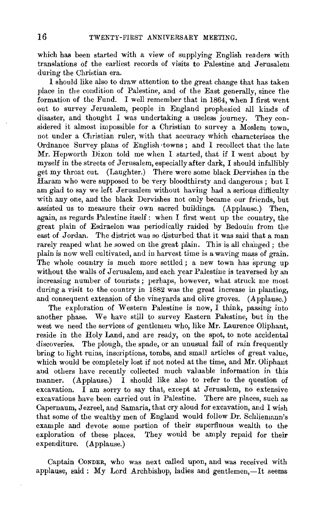which has been started with a view of supplying English readers with translations of the earliest records of visits to Palestine and Jerusalem during the Christian era.

I should like also to draw attention to the great change that has taken place in the condition of Palestine, and of the East generally, since the formation of the Fund. I well remember that in 1864, when I first went out to survey Jerusalem, people in England prophesied all kinds of disaster, and thought I was undertaking a useless journey. They considered it almost impossible for a Christian to survey a Moslem town. not under a Christian ruler, with that accuracy which characterises the Ordnance Survey plans of English ·towns ; and I recollect that the late Mr. Hepworth Dixon told me when I started, that if I went about by myself in the streets of Jerusalem, especially after dark, I should infallibly get my throat cut. (Laughter.) There were some black Dervishes in the Haram who were supposed to be very bloodthirsty and dangerous; but I am glad to say we left Jerusalem without having had a serious difficulty with any one, and the black Dervishes not only became our friends, but assisted us to measure their own sacred buildings. (Applause.) Then, again, as regards Palestine itself : when I first went up the country, the great plain of Esdraelon was periodically raided by Bedouin from the east of Jordan. The district was so disturbed that it was said that a man rarely reaped what he sowed on the great plain. This is all changed: the plain is now well cultivated, and in harvest time is a waving mass of grain. The whole country is much more settled; a new town has sprung up without the walls of Jerusalem, and each year Palestine is traversed by an increasing number of tourists; perhaps, however, what struck me most during a visit to the country in  $1882$  was the great increase in planting, and consequent extension of the vineyards and olive groves. (Applause.)

The exploration of Western Palestine is now,  $\tilde{I}$  think, passing into another phase. We have still to survey Eastern Palestine, but in the west we need the services of gentlemen who, like Mr. Laurence Oliphant, reside in the Holy Land, and are ready, on the spot, to note accidental discoveries. The plough, the spade, or an unusual fall of rain frequently bring to light ruins, inscriptions, tombs, and small articles of great value, which would be completely lost if not noted at the time, and Mr. Oliphant and others have recently collected much valuable information in this manner. (Applause.) I should like also to refer to the question of excavation. I am sorry to say that, except at Jerusalem, no extensive excavations have been carried out in Palestine. There are places, such as Capernaum, Jezreel, and Samaria, that cry aloud for excavation, and I wish that some of the wealthy men of England would follow Dr. Schliemann's example and devote some portion of their superfluous wealth to the exploration of these places. They would be amply repaid for their expenditure. (Applause.)

Captain CoNDER, who was next called upon, and was received with applause, said: My Lord Archbishop, ladies and gentlemen,  $-It$  seems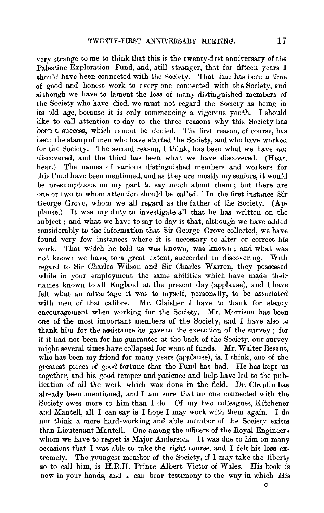very strange to me to think that this is the twenty-first anniversary of the Palestine Exploration Fund, and, still stranger, that for fifteen years I should have been connected with the Society. That time has been a time of good and honest work to every one connected with the Society, and although we have to lament the loss of many distinguished members of the Society who have died, we must not regard the Society as being in its old age, because it is only commencing a vigorous youth. I should like to call attention to-day to the three reasons why this Society has been a success, which cannot be denied. The first reason, of course, has been the stamp of men who have started the Society, and who have worked for the Society. The second reason, I think, has been what we have *not*  discovered, and the third has been what we have discovered. (Hear, hear.) The names of various distinguished members and workers for this Fund have been mentioned, and as they are mostly my seniors, it would be presumptuous on my part to say much about them ; but there are one or two to whom attention should be called. In the first instance Sir George Grove, whom we all regard as the father of the Society. (Applause.) It was my duty to investigate all that he has written on the subject ; and what we have to say to-day is that, although we have added considerably to the information that Sir George Grove collected, we have found very few instances where it is necessary to alter or correct his work. That which he told us was known, was known ; and what was not known we have, to a great extent, succeeded in discovering. With regard to Sir Charles Wilson and Sir Charles Warren, they possessed while in your employment the same abilities which have made their names known to all England at the present day (applause), and I have felt what an advantage it was to myself, personally, to be associated with men of that calibre. Mr. Glaisher I have to thank for steady encouragement when working for the Society. Mr. Morrison has been one of the most important members of the Society, and I have also to thank him for the assistance he gave to the execution of the survey ; for if it had not been for his guarantee at the back of the Society, our survey might several times have collapsed for want of funds. Mr. Waiter Besant, who has been my friend for many years (applause), is, I think, one of the greatest pieces of good fortune that the Fund has had. He has kept us together, and his good temper and patience and help have led to the publication of all the work which was done in the field. Dr. Chaplin has already been mentioned, and I am sure that no one connected with the Society owes more to him than I do. Of my two colleagues, Kitchener and Mantell, all I can say is I hope I may work with them again. I do not think a more hard-working and able member of the Society exists than Lieutenant Mantell. One among the officers of the Royal Engineers whom we have to regret is Major Anderson. It was due to him on many occasions that I was able to take the right course, and I felt his loss extremely. The youngest member of the Society, if I may take the liberty so to call him, is H.R.H. Prince Albert Victor of Wales. His book is now in your hands, and I can bear testimony to the way in which His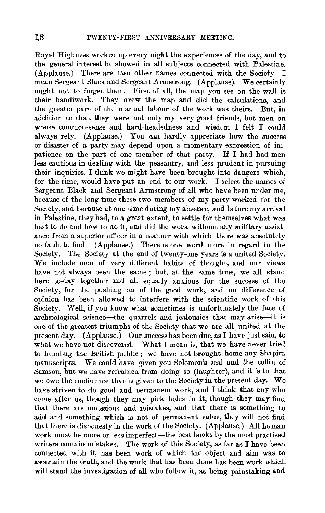Royal Highness worked up every night the experiences of the day, and to the general interest he showed in all subjects connected with Palestine. (Applause.) There are two other names connected with the Society--- $I$ mean Sergeant Black and Sergeant Armstrong. (Applause). We certainly ought not to forget them. First of all, the map you see on the wall is their handiwork. They drew the map and did the calculations, and the greater part of the manual labour of the work was theirs. But, in addition to that, they were not only my very good friends, but men on whose common-sense and hard-headedness and wisdom I felt I could always rely. (Applause.) You can hardly appreciate how the success or disaster of a party may depend upon a momentary expression of impatience on the part of one member of that party. If I had had men less cautious in dealing with the peasantry, and less prudent in pursuing their inquiries, I think we might have been brought into dangers which, for the time, would have put an end to our work. I select the names of Sergeant Blaek and Sergeant Armstrong of all who have been under me, because of the long time these two members of my party worked for the Society, and because at one time during my absence, and before my arrival in Palestine, they had, to a great extent, to settle for themselves what was best to do and how to do it, and did the work without any military assistance from a superior officer in a manner with which there was absolutely no fault to find. (Applause.) ·There is one word more in regard to the Society. The Society at the end of twenty-one years is a united Society. We include men of very different habits of thought, and our views have not always been the same ; but, at the same time, we all stand here to-day together and all equally anxious for the success of the Society, for the pushing on of the good work, and no difference of opinion has been allowed to interfere with the scientific work of this Society. Well, if you know what sometimes is unfortunately the fate of archæological science-the quarrels and jealousies that may arise-it is one of the greatest triumphs of the Society that we are all united at the present day. (Applause.) Our success has been due, as I have just said, to what we have not discovered. What I mean is, that we have never tried to humbug the British public; we have not brought home any Shapira manuscripts. We could have given you Solomon's seal and the coffin of Samson, but we have refrained from doing so (laughter), and it is to that we owe the confidence that is given to the Society in the present day. We have striven to do good and permanent work, and I think that any who come after us, though they may pick holes in it, though they may find that there are omissions and mistakes, and that there is something to add and something which is not of permanent value, they will not find that there is dishonesty in the work of the Society. (Applause.) All human work must be more or less imperfect—the best books by the most practised writers contain mistakes. The work of this Society, as far as I have been connected with it, has been work of which the object and aim was to ascertain the truth, and the work that has been done has been work which will stand the investigation of all who follow it, as being painstaking and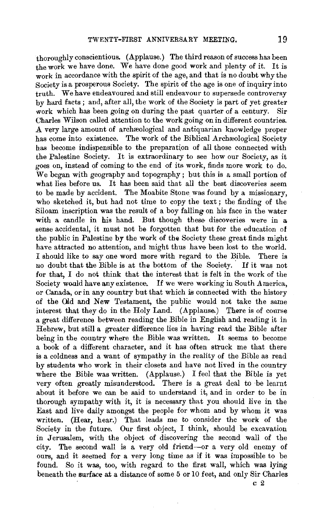thoroughly conscientious. (Applause.) The third reason of success has been the work we have done. We have done good work and plenty of it. It is work in accordance with the spirit of the age, and that is no doubt why the Society is a prosperous Society. The spirit of the age is one of inquiry into truth. We have endeavoured and still endeavour to supersede controversy by hard facts; and, after all, the work of the Society is part of yet greater work which has been going on during the past quarter of a century. Sir Charles Wilson caUed attention to the work going on in different countries. A very large amount of archaeological and antiquarian knowledge proper has come into existence. The work of the Biblical Archaeological Society has become indispensible to the preparation of all those connected with

the Palestine Society. It is extraordinary to see how our Society, as it goes on, instead of coming to the end of its work, finds more work to do. We began with geography and topography; but this is a small portion of what lies before us. It has been said that all the best discoveries seem to be made by accident. The Moabite Stone was found by a missionary, who sketched it, but had not time to copy the text ; the finding of the Siloam inscription was the result of a boy falling on his face in the water with a candle in his hand. But though these discoveries were in a sense accidental, it must not be forgotten that but for the education of the public in Palestine by the work of the Society these great finds might have attracted no attention, and might thus have been lost to the world. I should like to say one word more with regard to the Bible. There is no doubt that the Bible is at the bottom of the Society. If it was not for that, I do not think that the interest that is felt in the work of the Society would have any existence. If we were working in South America, or Canada, or in any country but that which is connected with the history of the Old and New Testament, the public would not take the same interest that they do in the Holy Land. (Applause.) There is of course a great difference between reading the Bible in English and reading it in Hebrew, but still a greater difference lies in having read the Bible after being in the country where the Bible was written. It seems to become a book of a different character, and it has often struck me that there is a coldness and a want of sympathy in the reality of the Bible as read by students who work in their closets and have not lived in the country where the Bible was written. (Applause.) I feel that the Bible is yet very often greatly misunderstood. There is a great deal to be learnt about it before we can be said to understand it, and in order to be in thorough sympathy with it, it is necessary that you should live in the East and live daily amongst the people for whom and by whom it was written. (Hear, hear.) That leads me to consider the work of the Society in the future. Our first object, I think, should be excavation in Jerusalem, with the object of discovering the second wall of the city. The second wall is a very old friend-or a very old enemy of ours, and it seemed for a very long time as if it was impossible to be found. So it was, too, with regard to the first wall, which was lying beneath the surface at a distance of some 5 or 10 feet, and only Sir Charles c 2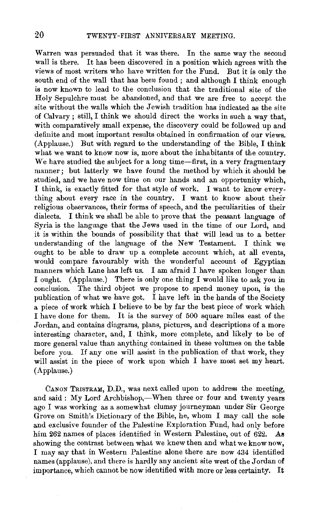Warren was persuaded that it was there. In the same way the second wall is there. It has been discovered in a position which agrees with the views of most writers who have written for the Fund. But it is only the south end of the wall that has been found ; and although I think enough is now known to lead to the conclusion that the traditional site of the Holy Sepulchre must be abandoned, and that we are free to accept the site without the walls which the Jewish tradition has indicated as the site of Calvary ; still, I think we should direct the works in such a way that, with comparatively small expense, the discovery could be followed up and definite and most important results obtained in confirmation of our views.  $(Applause.)$  But with regard to the understanding of the Bible, I think what we want to know now is, more about the inhabitants of the country. We have studied the subject for a long time-first, in a very fragmentary manner; but latterly we have found the method by which it should be studied, and we have now time on our hands and an opportunity which, I think, is exactly fitted for that style of work. I want to know everything about every race in the country. I want to know about their religious observances, their forms of speech, and the peculiarities of their dialects. I think we shall be able to prove that the peasant language of Syria is the language that the Jews used in the time of our Lord, and it is within the bounds of possibility that that will lead us to a better understanding of the language of the New Testament. I think we ought to be able to draw up a complete account which, at all events, would compare favourably with the wonderful account of Egyptian manners which Lane has left us. I am afraid I have spoken longer than I ought. (Applause.) There is only one thing I would like to ask you in conclusion. The third object we propose to spend money upon, is the publication of what we have got. I have left in the hands of the Society a piece of work which I believe to be by far the best piece of work which I have done for them. It is the survey of 500 square miles east of the Jordan, and contains diagrams, plans, pictures, and descriptions of a more interesting character, and, I think, more complete, and likely to be of more general value than anything contained in these volumes on the table before you. If any one will assist in the publication of that work, they will assist in the piece of work upon which I have most set my heart. (Applause.)

CANON TRISTRAM, D.D., was next called upon to address the meeting, and said : My Lord Archbishop,-When three or four and twenty years ago I was working as a somewhat clumsy journeyman under Sir George Grove on Smith's Dictionary of the Bible, he, whom I may call the sole and exclusive founder of the Palestine Exploration Fund, had only before him 262 names of places identified in Western Palestine, out of 622. As showing the contrast between what we knew then and what we know now, I may say that in Western Palestine alone there are now 434 identified names (applause), and there is hardly any ancient site west of the Jordan of importance, which cannot be now identified with more or less certainty. It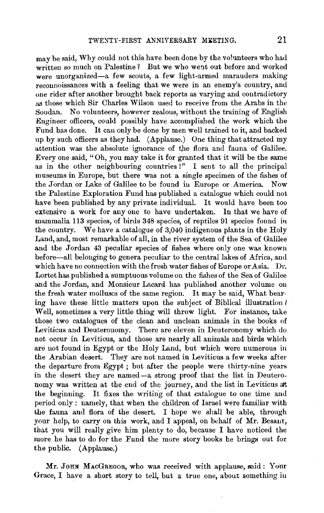may be said, Why could not this have been done by the volunteers who had written so much on Palestine ? But we who went out before and worked were unorganized-a few scouts, a few light-armed marauders making reconnoissances with a feeling that we were in an enemy's country, and one rider after another brought back reports as varying and contradictory as those which Sir Charles Wilson used to receive from the Arabs in the Soudan. No volunteers, however zealous, without the training of English Engineer officers, could possibly have accomplished the work which the Fund has done. It can only be done by men well trained to it, and backed up by such officers as they had. (Applause.) One thing that attracted my attention was the absolute ignorance of the flora and fauna of Galilee. Every one said, "Oh, you may take it for granted that it will be the same as in the other neighbouring countries!" I sent to all the principal museums in Europe, but there was not a single specimen of the fishes of the Jordan or Lake of Galilee to be found in Europe or America. Now the Palestine Exploration Fund has published a catalogue which could not have been published by any private individual. It would have been too extensive a work for any one to have undertaken. In that we have of mammalia 113 species, of birds 348 species, of reptiles 91 species found in the country. We have a catalogue of 3,040 indigenous plants in the Holy Land, and, most remarkable of all, in the river system of the Sea of Galilee and the Jordan 43 peculiar species of fishes where only one was known before-all belonging to genera peculiar to the central lakes of Africa, and which have no connection with the fresh water fishes of Europe or Asia. Dr. Lortet has published a sumptuous volume on the fishes of the Sea of Galilee and the Jordan, and Monsieur Lacard has published another volume on the fresh water molluscs of the same region. It may be said, What bearing have these little matters upon the subject of Biblical illustration  $\ell$ Well, sometimes a very little thing will throw light. For instance, take those two catalogues of the clean and unclean animals in the books of Leviticus and Deuteronomy. There are eleven in Deuteronomy which do not occur in Leviticus, and those are nearly all animals and birds which are not found in Egypt or the Holy Land, but which were numerous in the Arabian desert. They are not named in Leviticus a few weeks after the departure from Egypt; but after the people were thirty-nine years in the desert they are named -a strong proof that the list in Deuteronomy was written at the end of the journey, and the list in Leviticus at the beginning. It fixes the writin'g of that catalogue to one time and period only : namely, that when the children of Israel were familiar with the fauna and flora of the desert. I hope we shall be able, through your help, to carry on this work, and I appeal, on behalf of Mr. Besant, that you will really give him plenty to do, because I have noticed the more he has to do for the Fund the more story books he brings out for the public. (Applause.)

Mr. JOHN MACGREGOR, who was received with applause, said: Your Grace, I have a short story to tell, but a true one, about something in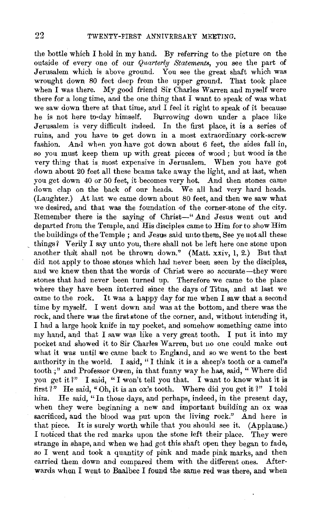the bottle which I hold in my hand. By referring to the picture on the outside of every one of our *Quarterly Statements,* you see the part of Jerusalem which is above ground. You see the great shaft which was wrought down 80 feet deep from the upper ground. That took place when I was there. My good friend Sir Charles Warren and myself were there for a long time, and the one thing that I want to speak of was what we saw down there at that time, and I feel it right to speak of it because he is not here to-day himself. Burrowing down under a place like Jerusalem is very difficult indeed. In the first place, it is a series of ruins, and you have to get down in a most extraordinary cork-screw fashion. And when you have got down about 6 feet, the sides fall in, so you must keep them up with great pieces of wood ; but wood is the very thing that is most expensive in Jerusalem. When you have got down about 20 feet all these beams take away the light, and at last, when you get down 40 or 50 feet, it becomes very hot. And then stones came down clap on the back of our heads. We all had very hard heads. (Laughter.) At last we came down about 80 feet, and then we saw what we desired, and that was the foundation of the corner-stone of the city. Remember there is the saying of Christ-" And Jesus went out and departed from the Temple, and His disciples came to Him for to show Him the buildings of the Temple ; and Jesus said unto them, See ye not all these things? Verily I say unto you, there shall not be left here one stone upon another that shall not be thrown down." (Matt. xxiv, 1, 2.) But that did not apply to those stones which had never been seen by the disciples, and we knew then that the words of Christ were so accurate-they were stones that had never been turned up. Therefore we came to the place been interred since they have been intered they have here they have have they have been interred since the age of Titus, and at last we came to the rock. came to the rock. It was a happy day for me when I saw that a second time by myself. I went down and was at the bottom, and there was the rock, and there was the first stone of the corner, and, without intending it, I had a large hook knife in my pocket, and somehow something came into my hand, and that I saw was like a very great tooth. I put it into my pocket and showed it to Sir Charles Warren, but no one could make out what it was until we came back to England, and so we went to the best authority in the world. I said, " I think it is a sheep's tooth or a camel's tooth;" and Professor Owen, in that funny way he has, said, "Where did you get it *1"* I said, "I won't tell you that. I want to know what it is first *1"* He said, "Oh, it is an ox's tooth. Where did you get it *1"* I told him. He said, "In those days, and perhaps, indeed, in the present day, when they were beginning a new and important building an ox was sacrificed, and the blood was put upon the living rock." And here is<br>that piece. It is surely worth while that you should see it. (Applause.) that piece. It is surely worth while that you should see it. (Applause.) I noticed that the red marks upon the stone left their place. They were strange in shape, and when we had got this shaft open they began to fade, so I went and took a quantity of pink and made pink marks, and then carried them down and compared them with the different ones. Afterwards when I went to Baalbec I found the same red was there, and when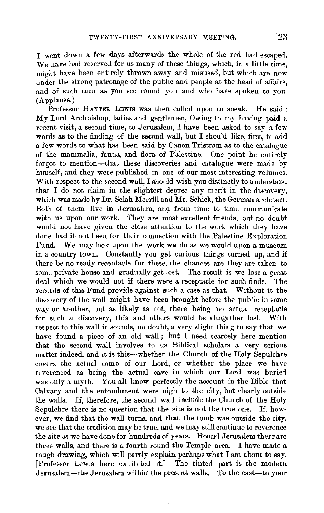I went down a few days afterwards the whole of the red had escaped. W<sub>e</sub> have had reserved for us many of these things, which, in a little time, might have been entirely thrown away and misused, but which are now under the strong patronage of the public and people at the head of affairs, and of such men as you see round you and who have spoken to you. (Applause.)

Professor HAYTER LEWIS was then called upon to speak. He said : My Lord Archbishop, ladies and gentlemen, Owing to my having paid a recent visit, a second time, to Jerusalem, I have been asked to say a few words as to the finding of the second wall, but I should like, first, to add a few words to what has been said by Canon Tristram as to the catalogue of the mammalia, fauna, and flora of Palestine. One point he entirely forgot to mention-that these discoveries and catalogue were made by himself, and they were published in one of our most interesting volumes. With respect to the second wall, I should wish you distinctly to understand that I do not claim in the slightest degree any merit in the discovery, which was made by Dr. Selah Merrill and Mr. Schick, the German architect. Both of them live in Jerusalem, and from time to time communicate with us upon our work. They are most excellent friends, but no doubt would not have given the close attention to the work which they have done had it not been for their connection with the Palestine Exploration Fund. We may look upon the work we do as we would upon a museum in a country town. Constantly you get curious things turned up, and if there be no ready receptacle for these, the chances are they are taken to some private house and gradually get lost. The result is we lose a great deal which we would not if there were a receptacle for such finds. The records of this Fund provide against such a case as that. Without it the discovery of the wall might have been brought before the public in some way or another, but as likely as not, there being no actual receptacle for such a discovery, this and others would be altogether lost. With respect to this wall it sounds, no doubt, a very slight thing to say that we have found a piece of an old wall; but I need scarcely here mention that the second wall involves to us Biblical scholars a very serious matter indeed, and it is this-whether the Church of the Holy Sepulchre covers the actual tomb of our Lord, or whether the place we have reverenced as being the actual cave in which our Lord was buried was only a myth. You all know perfectly the account in the Bible that Calvary and the entombment were nigh to the city, but clearly outside the walls. If, therefore, the second wall include the Church of the Holy Sepulchre there is no question that the site is not the true one. If, however, we find that the wall turns, and that the tomb was outside the city, we see that the tradition may be true, and we may still continue to reverence the site as we have done for hundreds of years. Round Jerusalem there are three walls, and there is a fourth round the Temple area. I have made a rough drawing, which will partly explain perhaps what I am about to say. [Professor Lewis here exhibited it.) The tinted part is the modern Jerusalem-the Jerusalem within the present walls. To the east-to your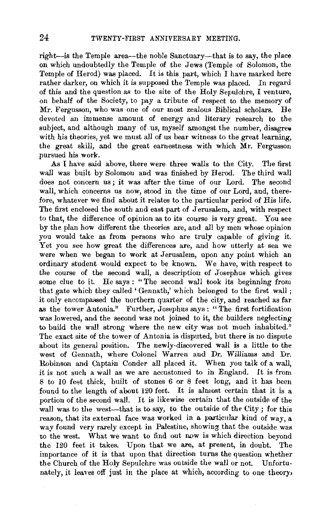right-is the Temple area-the noble  $T$  the place  $\frac{1}{2}$  $n_{\text{L}}$  is the Temple area—the noble Sanctuary—that is to say, the place on which undoubtedly the Temple of the Jews (Temple of Solomon, the Temple of Herod) was placed. It is this part, which I have marked here rather darker, on which it is supposed the Temple was placed. In regard of this and the question as to the site of the Holy Sepulchre. I venture, on behalf of the Society, to pay a tribute of respect to the memory of Mr. Fergusson, who was one of our most zealous Biblical scholars. He devoted an immense amount of energy and literary research to the subject, and although many of us, myself amongst the number, disagree with his theories, yet we must all of us bear witness to the great learning, the great skill, and the great earnestness with which Mr. Fergusson pursued his work.  $A$ s I have said above, there were the three walls to the City. The first to the city. The first to the city. The first to the first to the city. The first to the first to the city. The first to the city. The first to the

As I have said above, there were three walls to the City. The hrst wall was built by Solomon and was finished by Herod. The third wall does not concern us; it was after the time of our Lord. The second wall, which concerns us now, stood in the time of our Lord, and, therefore, whatever we find about it relates to the particular period of His life. The first enclosed the south and east part of Jerusalem, and, with respect to that, the difference of opinion as to its course is very great. You see by the plan how different the theories are, and all by men whose opinion you would take as from persons who are truly capable of giving it. Yet you see how great the differences are, and how utterly at sea we were when we began to work at Jerusalem, upon any point which an ordinary student would expect to be known. We have, with respect to the course of the second wall, a description of Josephus which gives some clue to it. He says: "The second wall took its beginning from that gate which they called 'Gennath,' which belonged to the first wall; it only encompassed the northern quarter of the city, and reached as far as the tower Antonia." Further, Josephus says: "The first fortification was lowered, and the second was not joined to it, the builders neglecting. to build the wall strong where the new city was not much inhabited." The exact site of the tower of Antonia is disputed, but there is no dispute about its general position. The newly-discovered wall is a little to the west of Gennath, where Colonel Warren and Dr. Williams and Dr. Robinson and Captain Conder all placed it. When you talk of a wall, it is not such a wall as we are accustomed to in England. It is from 8 to 10 feet thick, built of stones 6 or 8 feet long, and it has been found to the length of about 120 feet. It is almost certain that it is a portion of the second wall. It is likewise certain that the outside of the wall was to the west-that is to say, to the outside of the City; for this reason, that its external face was worked in a particular kind of way. a way found very rarely except in Palestine, showing that the outside was to the west. What we want to find out  $n \omega w$  is which direction beyond the 120 feet it takes. Upon that we are, at present, in doubt. The the 120 feet it takes. Upon that we are, at present, in doubt. importance of it is that upon that direction turns the question whether the Church of the Holy Sepulchre was outside the wall or not. Unfortunately, it leaves off just in the place at which, according to one theory,